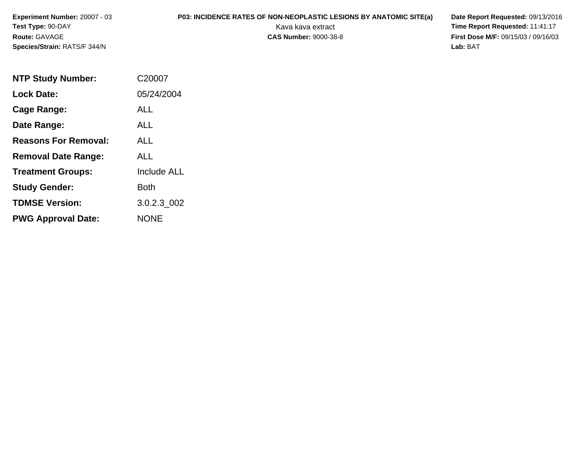**Experiment Number:** 20007 - 03**Test Type:** 90-DAY**Route:** GAVAGE**Species/Strain:** RATS/F 344/N

## **P03: INCIDENCE RATES OF NON-NEOPLASTIC LESIONS BY ANATOMIC SITE(a) Date Report Requested: 09/13/2016<br>Kava kava extract <b>Time Report Requested:** 11:41:17

Kava kava extract **Time Report Requested:** 11:41:17<br>**CAS Number:** 9000-38-8 **Time Report Requested:** 11:41:17 **First Dose M/F:** 09/15/03 / 09/16/03<br>Lab: BAT **Lab:** BAT

| <b>NTP Study Number:</b>    | C20007             |
|-----------------------------|--------------------|
| <b>Lock Date:</b>           | 05/24/2004         |
| Cage Range:                 | <b>ALL</b>         |
| Date Range:                 | <b>ALL</b>         |
| <b>Reasons For Removal:</b> | ALL                |
| <b>Removal Date Range:</b>  | ALL                |
| <b>Treatment Groups:</b>    | <b>Include ALL</b> |
| <b>Study Gender:</b>        | <b>Both</b>        |
| <b>TDMSE Version:</b>       | 3.0.2.3_002        |
| <b>PWG Approval Date:</b>   | <b>NONE</b>        |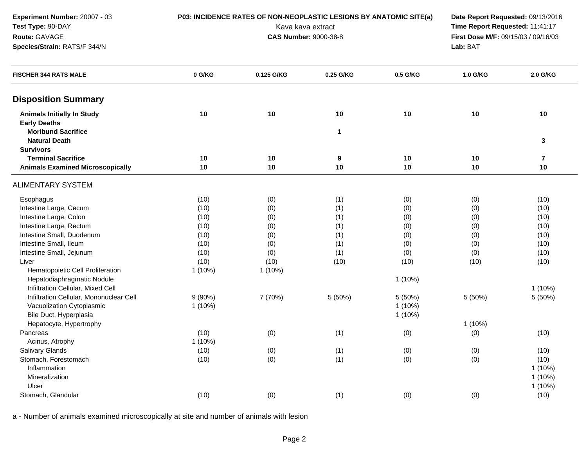| Test Type: 90-DAY                       |           |                              | Kava kava extract |           | Time Report Requested: 11:41:17 |                                                 |  |  |  |
|-----------------------------------------|-----------|------------------------------|-------------------|-----------|---------------------------------|-------------------------------------------------|--|--|--|
| Route: GAVAGE                           |           | <b>CAS Number: 9000-38-8</b> |                   |           |                                 | First Dose M/F: 09/15/03 / 09/16/03<br>Lab: BAT |  |  |  |
| Species/Strain: RATS/F 344/N            |           |                              |                   |           |                                 |                                                 |  |  |  |
| <b>FISCHER 344 RATS MALE</b>            | 0 G/KG    | 0.125 G/KG                   | 0.25 G/KG         | 0.5 G/KG  | 1.0 G/KG                        | 2.0 G/KG                                        |  |  |  |
| <b>Disposition Summary</b>              |           |                              |                   |           |                                 |                                                 |  |  |  |
| <b>Animals Initially In Study</b>       | 10        | 10                           | 10                | 10        | 10                              | 10                                              |  |  |  |
| <b>Early Deaths</b>                     |           |                              |                   |           |                                 |                                                 |  |  |  |
| <b>Moribund Sacrifice</b>               |           |                              | $\mathbf 1$       |           |                                 |                                                 |  |  |  |
| <b>Natural Death</b>                    |           |                              |                   |           |                                 | 3                                               |  |  |  |
| <b>Survivors</b>                        |           |                              |                   |           |                                 |                                                 |  |  |  |
| <b>Terminal Sacrifice</b>               | 10        | 10                           | $\boldsymbol{9}$  | 10        | 10                              | $\overline{7}$                                  |  |  |  |
| <b>Animals Examined Microscopically</b> | 10        | $10$                         | 10                | 10        | 10                              | 10                                              |  |  |  |
| <b>ALIMENTARY SYSTEM</b>                |           |                              |                   |           |                                 |                                                 |  |  |  |
| Esophagus                               | (10)      | (0)                          | (1)               | (0)       | (0)                             | (10)                                            |  |  |  |
| Intestine Large, Cecum                  | (10)      | (0)                          | (1)               | (0)       | (0)                             | (10)                                            |  |  |  |
| Intestine Large, Colon                  | (10)      | (0)                          | (1)               | (0)       | (0)                             | (10)                                            |  |  |  |
| Intestine Large, Rectum                 | (10)      | (0)                          | (1)               | (0)       | (0)                             | (10)                                            |  |  |  |
| Intestine Small, Duodenum               | (10)      | (0)                          | (1)               | (0)       | (0)                             | (10)                                            |  |  |  |
| Intestine Small, Ileum                  | (10)      | (0)                          | (1)               | (0)       | (0)                             | (10)                                            |  |  |  |
| Intestine Small, Jejunum                | (10)      | (0)                          | (1)               | (0)       | (0)                             | (10)                                            |  |  |  |
| Liver                                   | (10)      | (10)                         | (10)              | (10)      | (10)                            | (10)                                            |  |  |  |
| Hematopoietic Cell Proliferation        | $1(10\%)$ | $1(10\%)$                    |                   |           |                                 |                                                 |  |  |  |
| Hepatodiaphragmatic Nodule              |           |                              |                   | 1(10%)    |                                 |                                                 |  |  |  |
| Infiltration Cellular, Mixed Cell       |           |                              |                   |           |                                 | 1(10%)                                          |  |  |  |
| Infiltration Cellular, Mononuclear Cell | $9(90\%)$ | 7 (70%)                      | 5 (50%)           | 5(50%)    | 5 (50%)                         | 5 (50%)                                         |  |  |  |
| Vacuolization Cytoplasmic               | $1(10\%)$ |                              |                   | $1(10\%)$ |                                 |                                                 |  |  |  |
| Bile Duct, Hyperplasia                  |           |                              |                   | $1(10\%)$ |                                 |                                                 |  |  |  |
| Hepatocyte, Hypertrophy                 |           |                              |                   |           | 1 (10%)                         |                                                 |  |  |  |
| Pancreas                                | (10)      | (0)                          | (1)               | (0)       | (0)                             | (10)                                            |  |  |  |
| Acinus, Atrophy                         | 1(10%)    |                              |                   |           |                                 |                                                 |  |  |  |
| Salivary Glands                         | (10)      | (0)                          | (1)               | (0)       | (0)                             | (10)                                            |  |  |  |
| Stomach, Forestomach                    | (10)      | (0)                          | (1)               | (0)       | (0)                             | (10)                                            |  |  |  |
| Inflammation                            |           |                              |                   |           |                                 | $1(10\%)$                                       |  |  |  |
| Mineralization                          |           |                              |                   |           |                                 | $1(10\%)$                                       |  |  |  |
| Ulcer                                   |           |                              |                   |           |                                 | 1 (10%)                                         |  |  |  |
| Stomach, Glandular                      | (10)      | (0)                          | (1)               | (0)       | (0)                             | (10)                                            |  |  |  |

**P03: INCIDENCE RATES OF NON-NEOPLASTIC LESIONS BY ANATOMIC SITE(a) Date Report Requested:** 09/13/2016

a - Number of animals examined microscopically at site and number of animals with lesion

**Experiment Number:** 20007 - 03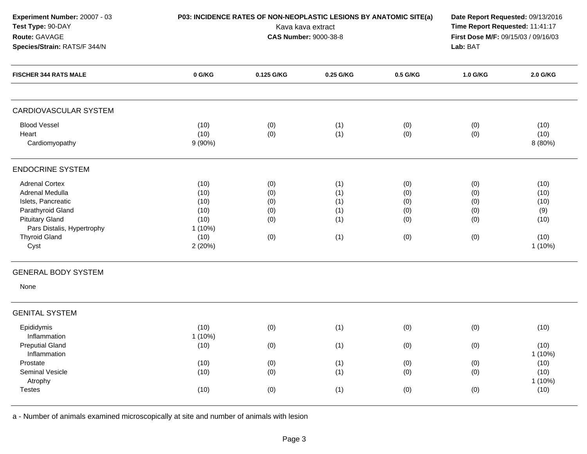| Experiment Number: 20007 - 03<br>Test Type: 90-DAY<br>Route: GAVAGE<br>Species/Strain: RATS/F 344/N                                                                         |                                                                      | P03: INCIDENCE RATES OF NON-NEOPLASTIC LESIONS BY ANATOMIC SITE(a) | Kava kava extract<br><b>CAS Number: 9000-38-8</b> |                                        | Date Report Requested: 09/13/2016<br>Time Report Requested: 11:41:17<br>First Dose M/F: 09/15/03 / 09/16/03<br>Lab: BAT |                                                       |  |
|-----------------------------------------------------------------------------------------------------------------------------------------------------------------------------|----------------------------------------------------------------------|--------------------------------------------------------------------|---------------------------------------------------|----------------------------------------|-------------------------------------------------------------------------------------------------------------------------|-------------------------------------------------------|--|
| <b>FISCHER 344 RATS MALE</b>                                                                                                                                                | 0 G/KG                                                               | 0.125 G/KG                                                         | 0.25 G/KG                                         | 0.5 G/KG                               | 1.0 G/KG                                                                                                                | 2.0 G/KG                                              |  |
| <b>CARDIOVASCULAR SYSTEM</b>                                                                                                                                                |                                                                      |                                                                    |                                                   |                                        |                                                                                                                         |                                                       |  |
| <b>Blood Vessel</b><br>Heart<br>Cardiomyopathy                                                                                                                              | (10)<br>(10)<br>$9(90\%)$                                            | (0)<br>(0)                                                         | (1)<br>(1)                                        | (0)<br>(0)                             | (0)<br>(0)                                                                                                              | (10)<br>(10)<br>8 (80%)                               |  |
| <b>ENDOCRINE SYSTEM</b>                                                                                                                                                     |                                                                      |                                                                    |                                                   |                                        |                                                                                                                         |                                                       |  |
| <b>Adrenal Cortex</b><br>Adrenal Medulla<br>Islets, Pancreatic<br>Parathyroid Gland<br><b>Pituitary Gland</b><br>Pars Distalis, Hypertrophy<br><b>Thyroid Gland</b><br>Cyst | (10)<br>(10)<br>(10)<br>(10)<br>(10)<br>$1(10\%)$<br>(10)<br>2 (20%) | (0)<br>(0)<br>(0)<br>(0)<br>(0)<br>(0)                             | (1)<br>(1)<br>(1)<br>(1)<br>(1)<br>(1)            | (0)<br>(0)<br>(0)<br>(0)<br>(0)<br>(0) | (0)<br>(0)<br>(0)<br>(0)<br>(0)<br>(0)                                                                                  | (10)<br>(10)<br>(10)<br>(9)<br>(10)<br>(10)<br>1(10%) |  |
| <b>GENERAL BODY SYSTEM</b><br>None                                                                                                                                          |                                                                      |                                                                    |                                                   |                                        |                                                                                                                         |                                                       |  |
| <b>GENITAL SYSTEM</b>                                                                                                                                                       |                                                                      |                                                                    |                                                   |                                        |                                                                                                                         |                                                       |  |
| Epididymis<br>Inflammation<br><b>Preputial Gland</b><br>Inflammation                                                                                                        | (10)<br>1(10%)<br>(10)                                               | (0)<br>(0)                                                         | (1)<br>(1)                                        | (0)<br>(0)                             | (0)<br>(0)                                                                                                              | (10)<br>(10)<br>1 (10%)                               |  |
| Prostate<br>Seminal Vesicle<br>Atrophy<br><b>Testes</b>                                                                                                                     | (10)<br>(10)<br>(10)                                                 | (0)<br>(0)<br>(0)                                                  | (1)<br>(1)<br>(1)                                 | (0)<br>(0)<br>(0)                      | (0)<br>(0)<br>(0)                                                                                                       | (10)<br>(10)<br>$1(10\%)$<br>(10)                     |  |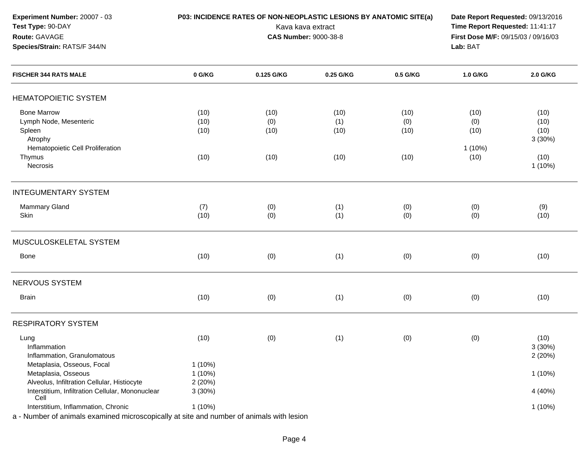**Experiment Number:** 20007 - 03**Test Type:** 90-DAY**Route:** GAVAGE**Species/Strain:** RATS/F 344/N

## **P03: INCIDENCE RATES OF NON-NEOPLASTIC LESIONS BY ANATOMIC SITE(a) Date Report Requested: 09/13/2016<br>Kava kava extract <b>Time Report Requested:** 11:41:17

Kava kava extract **Time Report Requested:** 11:41:17<br>**CAS Number:** 9000-38-8 **Time Report Requested:** 11:41:17 **First Dose M/F:** 09/15/03 / 09/16/03<br>Lab: BAT **Lab:** BAT

| <b>FISCHER 344 RATS MALE</b>                                                                                                                              | 0 G/KG    | 0.125 G/KG | 0.25 G/KG | 0.5 G/KG | 1.0 G/KG  | 2.0 G/KG  |
|-----------------------------------------------------------------------------------------------------------------------------------------------------------|-----------|------------|-----------|----------|-----------|-----------|
| <b>HEMATOPOIETIC SYSTEM</b>                                                                                                                               |           |            |           |          |           |           |
| <b>Bone Marrow</b>                                                                                                                                        | (10)      | (10)       | (10)      | (10)     | (10)      | (10)      |
| Lymph Node, Mesenteric                                                                                                                                    | (10)      | (0)        | (1)       | (0)      | (0)       | (10)      |
| Spleen                                                                                                                                                    | (10)      | (10)       | (10)      | (10)     | (10)      | (10)      |
| Atrophy                                                                                                                                                   |           |            |           |          |           | 3(30%)    |
| Hematopoietic Cell Proliferation                                                                                                                          |           |            |           |          | $1(10\%)$ |           |
| Thymus                                                                                                                                                    | (10)      | (10)       | (10)      | (10)     | (10)      | (10)      |
| Necrosis                                                                                                                                                  |           |            |           |          |           | 1(10%)    |
| <b>INTEGUMENTARY SYSTEM</b>                                                                                                                               |           |            |           |          |           |           |
| Mammary Gland                                                                                                                                             | (7)       | (0)        | (1)       | (0)      | (0)       | (9)       |
| Skin                                                                                                                                                      | (10)      | (0)        | (1)       | (0)      | (0)       | (10)      |
|                                                                                                                                                           |           |            |           |          |           |           |
| MUSCULOSKELETAL SYSTEM                                                                                                                                    |           |            |           |          |           |           |
| Bone                                                                                                                                                      | (10)      | (0)        | (1)       | (0)      | (0)       | (10)      |
| NERVOUS SYSTEM                                                                                                                                            |           |            |           |          |           |           |
| <b>Brain</b>                                                                                                                                              | (10)      | (0)        | (1)       | (0)      | (0)       | (10)      |
| <b>RESPIRATORY SYSTEM</b>                                                                                                                                 |           |            |           |          |           |           |
| Lung                                                                                                                                                      | (10)      | (0)        | (1)       | (0)      | (0)       | (10)      |
| Inflammation                                                                                                                                              |           |            |           |          |           | 3(30%)    |
| Inflammation, Granulomatous                                                                                                                               |           |            |           |          |           | 2(20%)    |
| Metaplasia, Osseous, Focal                                                                                                                                | $1(10\%)$ |            |           |          |           |           |
| Metaplasia, Osseous                                                                                                                                       | $1(10\%)$ |            |           |          |           | $1(10\%)$ |
| Alveolus, Infiltration Cellular, Histiocyte                                                                                                               | 2(20%)    |            |           |          |           |           |
| Interstitium, Infiltration Cellular, Mononuclear                                                                                                          | 3(30%)    |            |           |          |           | 4 (40%)   |
| Cell                                                                                                                                                      |           |            |           |          |           |           |
| Interstitium, Inflammation, Chronic<br>Microbian of protocols, accounting all actions approached by a field of the construction of protocols with the top | 1 (10%)   |            |           |          |           | 1 (10%)   |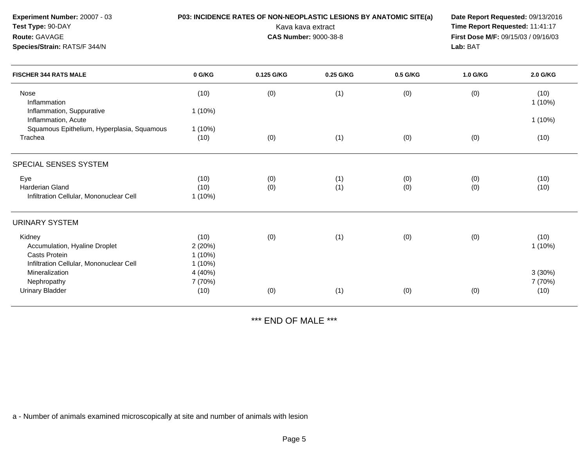| Experiment Number: 20007 - 03<br>Test Type: 90-DAY<br>Route: GAVAGE<br>Species/Strain: RATS/F 344/N |           | Kava kava extract<br><b>CAS Number: 9000-38-8</b> |           | P03: INCIDENCE RATES OF NON-NEOPLASTIC LESIONS BY ANATOMIC SITE(a)<br>Date Report Requested: 09/13/2016<br>Time Report Requested: 11:41:17<br>First Dose M/F: 09/15/03 / 09/16/03<br>Lab: BAT |          |                |
|-----------------------------------------------------------------------------------------------------|-----------|---------------------------------------------------|-----------|-----------------------------------------------------------------------------------------------------------------------------------------------------------------------------------------------|----------|----------------|
| <b>FISCHER 344 RATS MALE</b>                                                                        | 0 G/KG    | 0.125 G/KG                                        | 0.25 G/KG | 0.5 G/KG                                                                                                                                                                                      | 1.0 G/KG | 2.0 G/KG       |
| Nose<br>Inflammation                                                                                | (10)      | (0)                                               | (1)       | (0)                                                                                                                                                                                           | (0)      | (10)<br>1(10%) |
| Inflammation, Suppurative<br>Inflammation, Acute                                                    | $1(10\%)$ |                                                   |           |                                                                                                                                                                                               |          | $1(10\%)$      |
| Squamous Epithelium, Hyperplasia, Squamous                                                          | $1(10\%)$ |                                                   |           |                                                                                                                                                                                               |          |                |
| Trachea                                                                                             | (10)      | (0)                                               | (1)       | (0)                                                                                                                                                                                           | (0)      | (10)           |
| SPECIAL SENSES SYSTEM                                                                               |           |                                                   |           |                                                                                                                                                                                               |          |                |
| Eye                                                                                                 | (10)      | (0)                                               | (1)       | (0)                                                                                                                                                                                           | (0)      | (10)           |
| Harderian Gland                                                                                     | (10)      | (0)                                               | (1)       | (0)                                                                                                                                                                                           | (0)      | (10)           |
| Infiltration Cellular, Mononuclear Cell                                                             | $1(10\%)$ |                                                   |           |                                                                                                                                                                                               |          |                |
| <b>URINARY SYSTEM</b>                                                                               |           |                                                   |           |                                                                                                                                                                                               |          |                |
| Kidney                                                                                              | (10)      | (0)                                               | (1)       | (0)                                                                                                                                                                                           | (0)      | (10)           |
| Accumulation, Hyaline Droplet                                                                       | 2(20%)    |                                                   |           |                                                                                                                                                                                               |          | 1(10%)         |
| Casts Protein                                                                                       | $1(10\%)$ |                                                   |           |                                                                                                                                                                                               |          |                |
| Infiltration Cellular, Mononuclear Cell                                                             | $1(10\%)$ |                                                   |           |                                                                                                                                                                                               |          |                |
| Mineralization                                                                                      | 4 (40%)   |                                                   |           |                                                                                                                                                                                               |          | 3(30%)         |
| Nephropathy                                                                                         | 7 (70%)   |                                                   |           |                                                                                                                                                                                               |          | 7 (70%)        |
| <b>Urinary Bladder</b>                                                                              | (10)      | (0)                                               | (1)       | (0)                                                                                                                                                                                           | (0)      | (10)           |

\*\*\* END OF MALE \*\*\*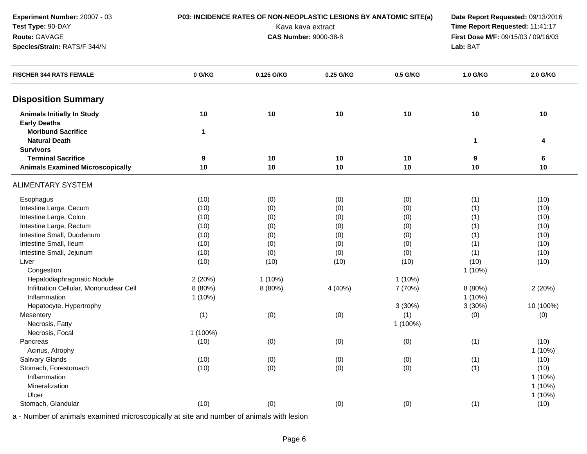| Experiment Number: 20007 - 03                            | P03: INCIDENCE RATES OF NON-NEOPLASTIC LESIONS BY ANATOMIC SITE(a) | Date Report Requested: 09/13/2016 |                              |          |                                     |           |
|----------------------------------------------------------|--------------------------------------------------------------------|-----------------------------------|------------------------------|----------|-------------------------------------|-----------|
| Test Type: 90-DAY                                        |                                                                    |                                   | Kava kava extract            |          | Time Report Requested: 11:41:17     |           |
| Route: GAVAGE                                            |                                                                    |                                   | <b>CAS Number: 9000-38-8</b> |          | First Dose M/F: 09/15/03 / 09/16/03 |           |
| Species/Strain: RATS/F 344/N                             |                                                                    |                                   |                              |          | Lab: BAT                            |           |
| <b>FISCHER 344 RATS FEMALE</b>                           | 0 G/KG                                                             | 0.125 G/KG                        | 0.25 G/KG                    | 0.5 G/KG | 1.0 G/KG                            | 2.0 G/KG  |
| <b>Disposition Summary</b>                               |                                                                    |                                   |                              |          |                                     |           |
| <b>Animals Initially In Study</b><br><b>Early Deaths</b> | 10                                                                 | $10$                              | 10                           | 10       | 10                                  | 10        |
| <b>Moribund Sacrifice</b><br><b>Natural Death</b>        | $\mathbf{1}$                                                       |                                   |                              |          | 1                                   | 4         |
| <b>Survivors</b>                                         |                                                                    |                                   |                              |          |                                     |           |
| <b>Terminal Sacrifice</b>                                | 9                                                                  | 10                                | 10                           | 10       | 9                                   | 6         |
| <b>Animals Examined Microscopically</b>                  | 10                                                                 | $10$                              | 10                           | 10       | 10                                  | 10        |
| <b>ALIMENTARY SYSTEM</b>                                 |                                                                    |                                   |                              |          |                                     |           |
| Esophagus                                                | (10)                                                               | (0)                               | (0)                          | (0)      | (1)                                 | (10)      |
| Intestine Large, Cecum                                   | (10)                                                               | (0)                               | (0)                          | (0)      | (1)                                 | (10)      |
| Intestine Large, Colon                                   | (10)                                                               | (0)                               | (0)                          | (0)      | (1)                                 | (10)      |
| Intestine Large, Rectum                                  | (10)                                                               | (0)                               | (0)                          | (0)      | (1)                                 | (10)      |
| Intestine Small, Duodenum                                | (10)                                                               | (0)                               | (0)                          | (0)      | (1)                                 | (10)      |
| Intestine Small, Ileum                                   | (10)                                                               | (0)                               | (0)                          | (0)      | (1)                                 | (10)      |
| Intestine Small, Jejunum                                 | (10)                                                               | (0)                               | (0)                          | (0)      | (1)                                 | (10)      |
| Liver                                                    | (10)                                                               | (10)                              | (10)                         | (10)     | (10)                                | (10)      |
| Congestion                                               |                                                                    |                                   |                              |          | 1(10%)                              |           |
| Hepatodiaphragmatic Nodule                               | 2(20%)                                                             | $1(10\%)$                         |                              | 1(10%)   |                                     |           |
| Infiltration Cellular, Mononuclear Cell                  | 8 (80%)                                                            | 8 (80%)                           | 4 (40%)                      | 7 (70%)  | 8 (80%)                             | 2(20%)    |
| Inflammation                                             | $1(10\%)$                                                          |                                   |                              |          | 1(10%)                              |           |
| Hepatocyte, Hypertrophy                                  |                                                                    |                                   |                              | 3(30%)   | 3(30%)                              | 10 (100%) |
| Mesentery                                                | (1)                                                                | (0)                               | (0)                          | (1)      | (0)                                 | (0)       |
| Necrosis, Fatty                                          |                                                                    |                                   |                              | 1 (100%) |                                     |           |
| Necrosis, Focal                                          | 1 (100%)                                                           |                                   |                              |          |                                     |           |
| Pancreas                                                 | (10)                                                               | (0)                               | (0)                          | (0)      | (1)                                 | (10)      |
| Acinus, Atrophy                                          |                                                                    |                                   |                              |          |                                     | $1(10\%)$ |
| Salivary Glands                                          | (10)                                                               | (0)                               | (0)                          | (0)      | (1)                                 | (10)      |
| Stomach, Forestomach                                     | (10)                                                               | (0)                               | (0)                          | (0)      | (1)                                 | (10)      |
| Inflammation                                             |                                                                    |                                   |                              |          |                                     | 1 (10%)   |
| Mineralization                                           |                                                                    |                                   |                              |          |                                     | 1 (10%)   |
| Ulcer                                                    |                                                                    |                                   |                              |          |                                     | $1(10\%)$ |
| Stomach, Glandular                                       | (10)                                                               | (0)                               | (0)                          | (0)      | (1)                                 | (10)      |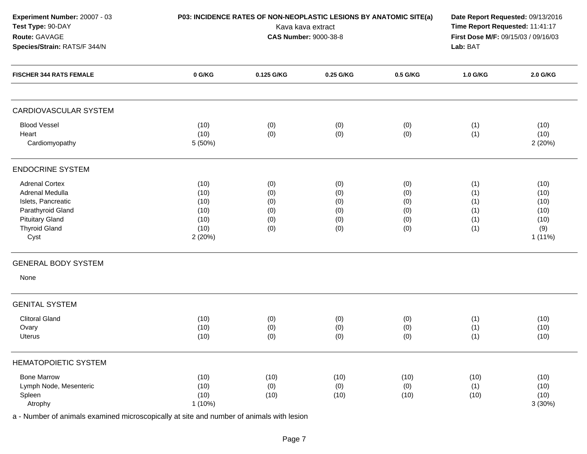| Experiment Number: 20007 - 03<br>Test Type: 90-DAY<br>Route: GAVAGE<br>Species/Strain: RATS/F 344/N                                           | P03: INCIDENCE RATES OF NON-NEOPLASTIC LESIONS BY ANATOMIC SITE(a)<br>Kava kava extract<br><b>CAS Number: 9000-38-8</b><br>Lab: BAT |                                        |                                        |                                        | Date Report Requested: 09/13/2016<br>Time Report Requested: 11:41:17<br>First Dose M/F: 09/15/03 / 09/16/03 |                                                        |  |
|-----------------------------------------------------------------------------------------------------------------------------------------------|-------------------------------------------------------------------------------------------------------------------------------------|----------------------------------------|----------------------------------------|----------------------------------------|-------------------------------------------------------------------------------------------------------------|--------------------------------------------------------|--|
| <b>FISCHER 344 RATS FEMALE</b>                                                                                                                | 0 G/KG                                                                                                                              | 0.125 G/KG                             | 0.25 G/KG                              | 0.5 G/KG                               | 1.0 G/KG                                                                                                    | 2.0 G/KG                                               |  |
| <b>CARDIOVASCULAR SYSTEM</b>                                                                                                                  |                                                                                                                                     |                                        |                                        |                                        |                                                                                                             |                                                        |  |
| <b>Blood Vessel</b><br>Heart<br>Cardiomyopathy                                                                                                | (10)<br>(10)<br>5 (50%)                                                                                                             | (0)<br>(0)                             | (0)<br>(0)                             | (0)<br>(0)                             | (1)<br>(1)                                                                                                  | (10)<br>(10)<br>2(20%)                                 |  |
| <b>ENDOCRINE SYSTEM</b>                                                                                                                       |                                                                                                                                     |                                        |                                        |                                        |                                                                                                             |                                                        |  |
| <b>Adrenal Cortex</b><br>Adrenal Medulla<br>Islets, Pancreatic<br>Parathyroid Gland<br><b>Pituitary Gland</b><br><b>Thyroid Gland</b><br>Cyst | (10)<br>(10)<br>(10)<br>(10)<br>(10)<br>(10)<br>2 (20%)                                                                             | (0)<br>(0)<br>(0)<br>(0)<br>(0)<br>(0) | (0)<br>(0)<br>(0)<br>(0)<br>(0)<br>(0) | (0)<br>(0)<br>(0)<br>(0)<br>(0)<br>(0) | (1)<br>(1)<br>(1)<br>(1)<br>(1)<br>(1)                                                                      | (10)<br>(10)<br>(10)<br>(10)<br>(10)<br>(9)<br>1 (11%) |  |
| <b>GENERAL BODY SYSTEM</b><br>None                                                                                                            |                                                                                                                                     |                                        |                                        |                                        |                                                                                                             |                                                        |  |
| <b>GENITAL SYSTEM</b>                                                                                                                         |                                                                                                                                     |                                        |                                        |                                        |                                                                                                             |                                                        |  |
| <b>Clitoral Gland</b><br>Ovary<br><b>Uterus</b>                                                                                               | (10)<br>(10)<br>(10)                                                                                                                | (0)<br>(0)<br>(0)                      | (0)<br>(0)<br>(0)                      | (0)<br>(0)<br>(0)                      | (1)<br>(1)<br>(1)                                                                                           | (10)<br>(10)<br>(10)                                   |  |
| <b>HEMATOPOIETIC SYSTEM</b>                                                                                                                   |                                                                                                                                     |                                        |                                        |                                        |                                                                                                             |                                                        |  |
| <b>Bone Marrow</b><br>Lymph Node, Mesenteric<br>Spleen<br>Atrophy                                                                             | (10)<br>(10)<br>(10)<br>1 (10%)                                                                                                     | (10)<br>(0)<br>(10)                    | (10)<br>(0)<br>(10)                    | (10)<br>(0)<br>(10)                    | (10)<br>(1)<br>(10)                                                                                         | (10)<br>(10)<br>(10)<br>3(30%)                         |  |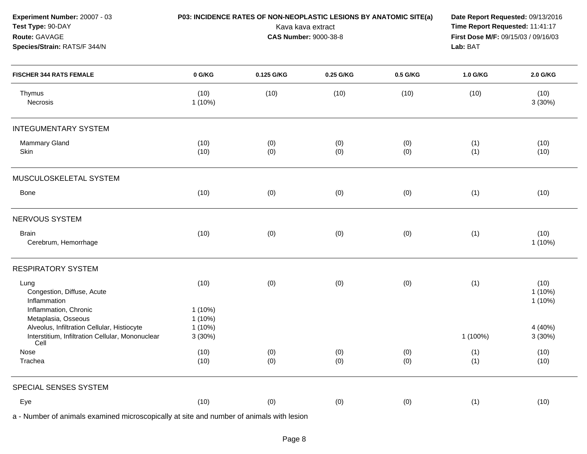| Experiment Number: 20007 - 03<br>Test Type: 90-DAY<br>Route: GAVAGE<br>Species/Strain: RATS/F 344/N                    |                              | P03: INCIDENCE RATES OF NON-NEOPLASTIC LESIONS BY ANATOMIC SITE(a) | Kava kava extract<br><b>CAS Number: 9000-38-8</b> |            | Time Report Requested: 11:41:17<br>Lab: BAT | Date Report Requested: 09/13/2016<br>First Dose M/F: 09/15/03 / 09/16/03 |  |
|------------------------------------------------------------------------------------------------------------------------|------------------------------|--------------------------------------------------------------------|---------------------------------------------------|------------|---------------------------------------------|--------------------------------------------------------------------------|--|
| <b>FISCHER 344 RATS FEMALE</b>                                                                                         | 0 G/KG                       | 0.125 G/KG                                                         | 0.25 G/KG                                         | 0.5 G/KG   | 1.0 G/KG                                    | 2.0 G/KG                                                                 |  |
| Thymus<br>Necrosis                                                                                                     | (10)<br>1 (10%)              | (10)                                                               | (10)                                              | (10)       | (10)                                        | (10)<br>3(30%)                                                           |  |
| <b>INTEGUMENTARY SYSTEM</b>                                                                                            |                              |                                                                    |                                                   |            |                                             |                                                                          |  |
| <b>Mammary Gland</b><br>Skin                                                                                           | (10)<br>(10)                 | (0)<br>(0)                                                         | (0)<br>(0)                                        | (0)<br>(0) | (1)<br>(1)                                  | (10)<br>(10)                                                             |  |
| MUSCULOSKELETAL SYSTEM                                                                                                 |                              |                                                                    |                                                   |            |                                             |                                                                          |  |
| Bone                                                                                                                   | (10)                         | (0)                                                                | (0)                                               | (0)        | (1)                                         | (10)                                                                     |  |
| NERVOUS SYSTEM                                                                                                         |                              |                                                                    |                                                   |            |                                             |                                                                          |  |
| <b>Brain</b><br>Cerebrum, Hemorrhage                                                                                   | (10)                         | (0)                                                                | (0)                                               | (0)        | (1)                                         | (10)<br>$1(10\%)$                                                        |  |
| <b>RESPIRATORY SYSTEM</b>                                                                                              |                              |                                                                    |                                                   |            |                                             |                                                                          |  |
| Lung<br>Congestion, Diffuse, Acute<br>Inflammation<br>Inflammation, Chronic                                            | (10)<br>1(10%)               | (0)                                                                | (0)                                               | (0)        | (1)                                         | (10)<br>$1(10\%)$<br>$1(10\%)$                                           |  |
| Metaplasia, Osseous<br>Alveolus, Infiltration Cellular, Histiocyte<br>Interstitium, Infiltration Cellular, Mononuclear | 1 (10%)<br>1 (10%)<br>3(30%) |                                                                    |                                                   |            | 1 (100%)                                    | 4 (40%)<br>3(30%)                                                        |  |
| Cell<br>Nose<br>Trachea                                                                                                | (10)<br>(10)                 | (0)<br>(0)                                                         | (0)<br>(0)                                        | (0)<br>(0) | (1)<br>(1)                                  | (10)<br>(10)                                                             |  |
| SPECIAL SENSES SYSTEM                                                                                                  |                              |                                                                    |                                                   |            |                                             |                                                                          |  |
| Eye                                                                                                                    | (10)                         | (0)                                                                | (0)                                               | (0)        | (1)                                         | (10)                                                                     |  |